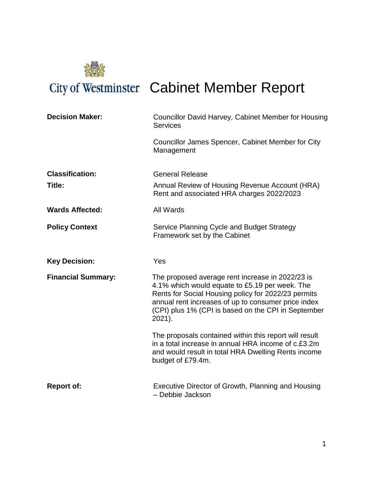

# City of Westminster Cabinet Member Report

| <b>Decision Maker:</b>    | Councillor David Harvey, Cabinet Member for Housing<br><b>Services</b>                                                                                                                                                                                                               |  |
|---------------------------|--------------------------------------------------------------------------------------------------------------------------------------------------------------------------------------------------------------------------------------------------------------------------------------|--|
|                           | Councillor James Spencer, Cabinet Member for City<br>Management                                                                                                                                                                                                                      |  |
| <b>Classification:</b>    | <b>General Release</b>                                                                                                                                                                                                                                                               |  |
| Title:                    | Annual Review of Housing Revenue Account (HRA)<br>Rent and associated HRA charges 2022/2023                                                                                                                                                                                          |  |
| <b>Wards Affected:</b>    | All Wards                                                                                                                                                                                                                                                                            |  |
| <b>Policy Context</b>     | Service Planning Cycle and Budget Strategy<br>Framework set by the Cabinet                                                                                                                                                                                                           |  |
| <b>Key Decision:</b>      | Yes                                                                                                                                                                                                                                                                                  |  |
| <b>Financial Summary:</b> | The proposed average rent increase in 2022/23 is<br>4.1% which would equate to £5.19 per week. The<br>Rents for Social Housing policy for 2022/23 permits<br>annual rent increases of up to consumer price index<br>(CPI) plus 1% (CPI is based on the CPI in September<br>$2021$ ). |  |
|                           | The proposals contained within this report will result<br>in a total increase in annual HRA income of c.£3.2m<br>and would result in total HRA Dwelling Rents income<br>budget of £79.4m.                                                                                            |  |
| <b>Report of:</b>         | Executive Director of Growth, Planning and Housing<br>- Debbie Jackson                                                                                                                                                                                                               |  |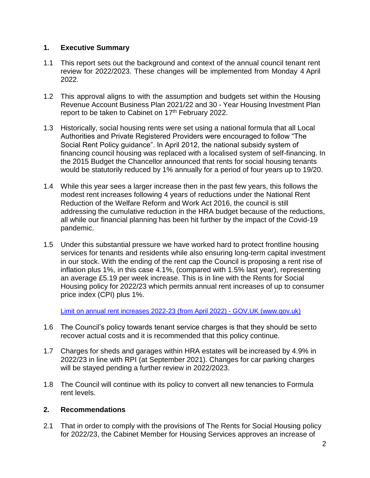## **1. Executive Summary**

- 1.1 This report sets out the background and context of the annual council tenant rent review for 2022/2023. These changes will be implemented from Monday 4 April 2022.
- 1.2 This approval aligns to with the assumption and budgets set within the Housing Revenue Account Business Plan 2021/22 and 30 - Year Housing Investment Plan report to be taken to Cabinet on 17<sup>th</sup> February 2022.
- 1.3 Historically, social housing rents were set using a national formula that all Local Authorities and Private Registered Providers were encouraged to follow "The Social Rent Policy guidance". In April 2012, the national subsidy system of financing council housing was replaced with a localised system of self-financing. In the 2015 Budget the Chancellor announced that rents for social housing tenants would be statutorily reduced by 1% annually for a period of four years up to 19/20.
- 1.4 While this year sees a larger increase then in the past few years, this follows the modest rent increases following 4 years of reductions under the National Rent Reduction of the Welfare Reform and Work Act 2016, the council is still addressing the cumulative reduction in the HRA budget because of the reductions, all while our financial planning has been hit further by the impact of the Covid-19 pandemic.
- 1.5 Under this substantial pressure we have worked hard to protect frontline housing services for tenants and residents while also ensuring long-term capital investment in our stock. With the ending of the rent cap the Council is proposing a rent rise of inflation plus 1%, in this case 4.1%, (compared with 1.5% last year), representing an average £5.19 per week increase. This is in line with the Rents for Social Housing policy for 2022/23 which permits annual rent increases of up to consumer price index (CPI) plus 1%.

Limit on annual rent increases 2022-23 (from April 2022) - GOV.UK (www.gov.uk)

- 1.6 The Council's policy towards tenant service charges is that they should be setto recover actual costs and it is recommended that this policy continue.
- 1.7 Charges for sheds and garages within HRA estates will be increased by 4.9% in 2022/23 in line with RPI (at September 2021). Changes for car parking charges will be stayed pending a further review in 2022/2023.
- 1.8 The Council will continue with its policy to convert all new tenancies to Formula rent levels.

## **2. Recommendations**

2.1 That in order to comply with the provisions of The Rents for Social Housing policy for 2022/23, the Cabinet Member for Housing Services approves an increase of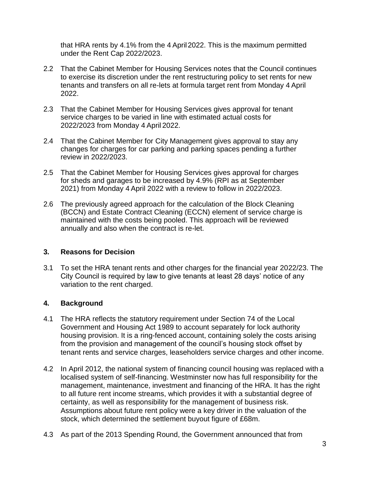that HRA rents by 4.1% from the 4 April2022. This is the maximum permitted under the Rent Cap 2022/2023.

- 2.2 That the Cabinet Member for Housing Services notes that the Council continues to exercise its discretion under the rent restructuring policy to set rents for new tenants and transfers on all re-lets at formula target rent from Monday 4 April 2022.
- 2.3 That the Cabinet Member for Housing Services gives approval for tenant service charges to be varied in line with estimated actual costs for 2022/2023 from Monday 4 April 2022.
- 2.4 That the Cabinet Member for City Management gives approval to stay any changes for charges for car parking and parking spaces pending a further review in 2022/2023.
- 2.5 That the Cabinet Member for Housing Services gives approval for charges for sheds and garages to be increased by 4.9% (RPI as at September 2021) from Monday 4 April 2022 with a review to follow in 2022/2023.
- 2.6 The previously agreed approach for the calculation of the Block Cleaning (BCCN) and Estate Contract Cleaning (ECCN) element of service charge is maintained with the costs being pooled. This approach will be reviewed annually and also when the contract is re-let.

## **3. Reasons for Decision**

3.1 To set the HRA tenant rents and other charges for the financial year 2022/23. The City Council is required by law to give tenants at least 28 days' notice of any variation to the rent charged.

# **4. Background**

- 4.1 The HRA reflects the statutory requirement under Section 74 of the Local Government and Housing Act 1989 to account separately for lock authority housing provision. It is a ring-fenced account, containing solely the costs arising from the provision and management of the council's housing stock offset by tenant rents and service charges, leaseholders service charges and other income.
- 4.2 In April 2012, the national system of financing council housing was replaced with a localised system of self-financing. Westminster now has full responsibility for the management, maintenance, investment and financing of the HRA. It has the right to all future rent income streams, which provides it with a substantial degree of certainty, as well as responsibility for the management of business risk. Assumptions about future rent policy were a key driver in the valuation of the stock, which determined the settlement buyout figure of £68m.
- 4.3 As part of the 2013 Spending Round, the Government announced that from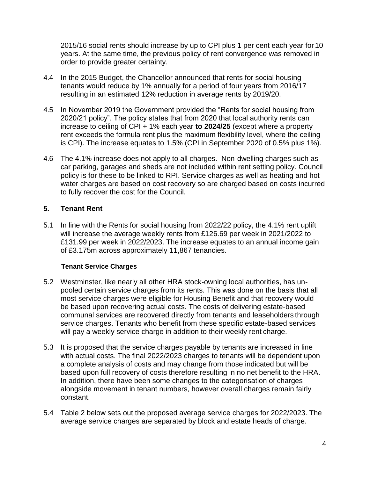2015/16 social rents should increase by up to CPI plus 1 per cent each year for 10 years. At the same time, the previous policy of rent convergence was removed in order to provide greater certainty.

- 4.4 In the 2015 Budget, the Chancellor announced that rents for social housing tenants would reduce by 1% annually for a period of four years from 2016/17 resulting in an estimated 12% reduction in average rents by 2019/20.
- 4.5 In November 2019 the Government provided the "Rents for social housing from 2020/21 policy". The policy states that from 2020 that local authority rents can increase to ceiling of CPI + 1% each year **to 2024/25** (except where a property rent exceeds the formula rent plus the maximum flexibility level, where the ceiling is CPI). The increase equates to 1.5% (CPI in September 2020 of 0.5% plus 1%).
- 4.6 The 4.1% increase does not apply to all charges. Non-dwelling charges such as car parking, garages and sheds are not included within rent setting policy. Council policy is for these to be linked to RPI. Service charges as well as heating and hot water charges are based on cost recovery so are charged based on costs incurred to fully recover the cost for the Council.

# **5. Tenant Rent**

5.1 In line with the Rents for social housing from 2022/22 policy, the 4.1% rent uplift will increase the average weekly rents from £126.69 per week in 2021/2022 to £131.99 per week in 2022/2023. The increase equates to an annual income gain of £3.175m across approximately 11,867 tenancies.

## **Tenant Service Charges**

- 5.2 Westminster, like nearly all other HRA stock-owning local authorities, has unpooled certain service charges from its rents. This was done on the basis that all most service charges were eligible for Housing Benefit and that recovery would be based upon recovering actual costs. The costs of delivering estate-based communal services are recovered directly from tenants and leaseholders through service charges. Tenants who benefit from these specific estate-based services will pay a weekly service charge in addition to their weekly rent charge.
- 5.3 It is proposed that the service charges payable by tenants are increased in line with actual costs. The final 2022/2023 charges to tenants will be dependent upon a complete analysis of costs and may change from those indicated but will be based upon full recovery of costs therefore resulting in no net benefit to the HRA. In addition, there have been some changes to the categorisation of charges alongside movement in tenant numbers, however overall charges remain fairly constant.
- 5.4 Table 2 below sets out the proposed average service charges for 2022/2023. The average service charges are separated by block and estate heads of charge.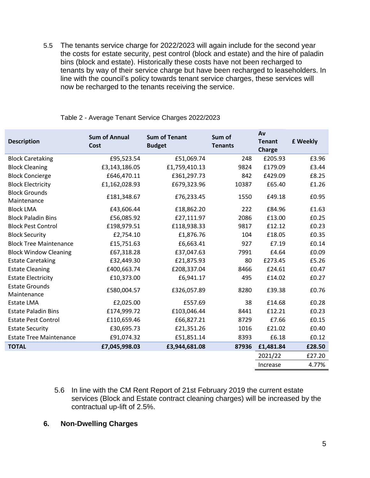5.5 The tenants service charge for 2022/2023 will again include for the second year the costs for estate security, pest control (block and estate) and the hire of paladin bins (block and estate). Historically these costs have not been recharged to tenants by way of their service charge but have been recharged to leaseholders. In line with the council's policy towards tenant service charges, these services will now be recharged to the tenants receiving the service.

| <b>Description</b>                   | <b>Sum of Annual</b><br>Cost | <b>Sum of Tenant</b><br><b>Budget</b> | Sum of<br><b>Tenants</b> | Av<br><b>Tenant</b><br><b>Charge</b> | £ Weekly |
|--------------------------------------|------------------------------|---------------------------------------|--------------------------|--------------------------------------|----------|
| <b>Block Caretaking</b>              | £95,523.54                   | £51,069.74                            | 248                      | £205.93                              | £3.96    |
| <b>Block Cleaning</b>                | £3,143,186.05                | £1,759,410.13                         | 9824                     | £179.09                              | £3.44    |
| <b>Block Concierge</b>               | £646,470.11                  | £361,297.73                           | 842                      | £429.09                              | £8.25    |
| <b>Block Electricity</b>             | £1,162,028.93                | £679,323.96                           | 10387                    | £65.40                               | £1.26    |
| <b>Block Grounds</b><br>Maintenance  | £181,348.67                  | £76,233.45                            | 1550                     | £49.18                               | £0.95    |
| <b>Block LMA</b>                     | £43,606.44                   | £18,862.20                            | 222                      | £84.96                               | £1.63    |
| <b>Block Paladin Bins</b>            | £56,085.92                   | £27,111.97                            | 2086                     | £13.00                               | £0.25    |
| <b>Block Pest Control</b>            | £198,979.51                  | £118,938.33                           | 9817                     | £12.12                               | £0.23    |
| <b>Block Security</b>                | £2,754.10                    | £1,876.76                             | 104                      | £18.05                               | £0.35    |
| <b>Block Tree Maintenance</b>        | £15,751.63                   | £6,663.41                             | 927                      | £7.19                                | £0.14    |
| <b>Block Window Cleaning</b>         | £67,318.28                   | £37,047.63                            | 7991                     | £4.64                                | £0.09    |
| <b>Estate Caretaking</b>             | £32,449.30                   | £21,875.93                            | 80                       | £273.45                              | £5.26    |
| <b>Estate Cleaning</b>               | £400,663.74                  | £208,337.04                           | 8466                     | £24.61                               | £0.47    |
| <b>Estate Electricity</b>            | £10,373.00                   | £6,941.17                             | 495                      | £14.02                               | £0.27    |
| <b>Estate Grounds</b><br>Maintenance | £580,004.57                  | £326,057.89                           | 8280                     | £39.38                               | £0.76    |
| <b>Estate LMA</b>                    | £2,025.00                    | £557.69                               | 38                       | £14.68                               | £0.28    |
| <b>Estate Paladin Bins</b>           | £174,999.72                  | £103,046.44                           | 8441                     | £12.21                               | £0.23    |
| <b>Estate Pest Control</b>           | £110,659.46                  | £66,827.21                            | 8729                     | £7.66                                | £0.15    |
| <b>Estate Security</b>               | £30,695.73                   | £21,351.26                            | 1016                     | £21.02                               | £0.40    |
| <b>Estate Tree Maintenance</b>       | £91,074.32                   | £51,851.14                            | 8393                     | £6.18                                | £0.12    |
| <b>TOTAL</b>                         | £7,045,998.03                | £3,944,681.08                         | 87936                    | £1,481.84                            | £28.50   |
|                                      |                              |                                       |                          | 2021/22                              | £27.20   |
|                                      |                              |                                       |                          | Increase                             | 4.77%    |

Table 2 - Average Tenant Service Charges 2022/2023

5.6 In line with the CM Rent Report of 21st February 2019 the current estate services (Block and Estate contract cleaning charges) will be increased by the contractual up-lift of 2.5%.

## **6. Non-Dwelling Charges**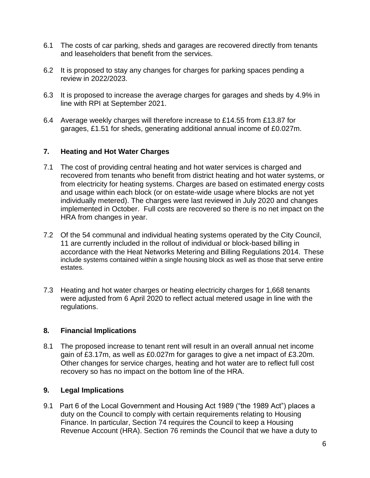- 6.1 The costs of car parking, sheds and garages are recovered directly from tenants and leaseholders that benefit from the services.
- 6.2 It is proposed to stay any changes for charges for parking spaces pending a review in 2022/2023.
- 6.3 It is proposed to increase the average charges for garages and sheds by 4.9% in line with RPI at September 2021.
- 6.4 Average weekly charges will therefore increase to £14.55 from £13.87 for garages, £1.51 for sheds, generating additional annual income of £0.027m.

# **7. Heating and Hot Water Charges**

- 7.1 The cost of providing central heating and hot water services is charged and recovered from tenants who benefit from district heating and hot water systems, or from electricity for heating systems. Charges are based on estimated energy costs and usage within each block (or on estate-wide usage where blocks are not yet individually metered). The charges were last reviewed in July 2020 and changes implemented in October. Full costs are recovered so there is no net impact on the HRA from changes in year.
- 7.2 Of the 54 communal and individual heating systems operated by the City Council, 11 are currently included in the rollout of individual or block-based billing in accordance with the Heat Networks Metering and Billing Regulations 2014. These include systems contained within a single housing block as well as those that serve entire estates.
- 7.3 Heating and hot water charges or heating electricity charges for 1,668 tenants were adjusted from 6 April 2020 to reflect actual metered usage in line with the regulations.

## **8. Financial Implications**

8.1 The proposed increase to tenant rent will result in an overall annual net income gain of £3.17m, as well as £0.027m for garages to give a net impact of £3.20m. Other changes for service charges, heating and hot water are to reflect full cost recovery so has no impact on the bottom line of the HRA.

## **9. Legal Implications**

9.1 Part 6 of the Local Government and Housing Act 1989 ("the 1989 Act") places a duty on the Council to comply with certain requirements relating to Housing Finance. In particular, Section 74 requires the Council to keep a Housing Revenue Account (HRA). Section 76 reminds the Council that we have a duty to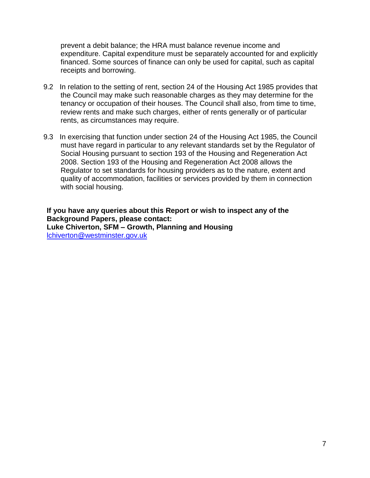prevent a debit balance; the HRA must balance revenue income and expenditure. Capital expenditure must be separately accounted for and explicitly financed. Some sources of finance can only be used for capital, such as capital receipts and borrowing.

- 9.2 In relation to the setting of rent, section 24 of the Housing Act 1985 provides that the Council may make such reasonable charges as they may determine for the tenancy or occupation of their houses. The Council shall also, from time to time, review rents and make such charges, either of rents generally or of particular rents, as circumstances may require.
- 9.3 In exercising that function under section 24 of the Housing Act 1985, the Council must have regard in particular to any relevant standards set by the Regulator of Social Housing pursuant to section 193 of the Housing and Regeneration Act 2008. Section 193 of the Housing and Regeneration Act 2008 allows the Regulator to set standards for housing providers as to the nature, extent and quality of accommodation, facilities or services provided by them in connection with social housing.

**If you have any queries about this Report or wish to inspect any of the Background Papers, please contact: Luke Chiverton, SFM – Growth, Planning and Housing** lchiverton@westminster.gov.uk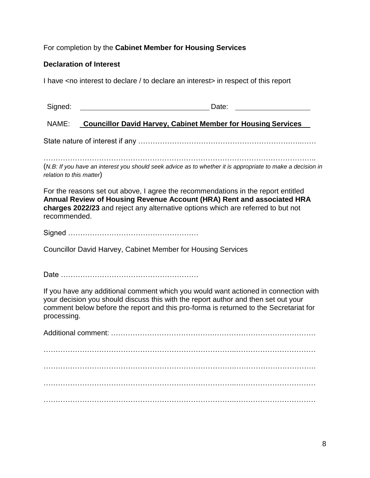For completion by the **Cabinet Member for Housing Services** 

# **Declaration of Interest**

I have <no interest to declare / to declare an interest> in respect of this report

| Signed: | Date: |
|---------|-------|
|         |       |

## NAME: **Councillor David Harvey, Cabinet Member for Housing Services**

State nature of interest if any …………………………………………………………..……

(*N.B: If you have an interest you should seek advice as to whether it is appropriate to make a decision in relation to this matter*)

For the reasons set out above, I agree the recommendations in the report entitled **Annual Review of Housing Revenue Account (HRA) Rent and associated HRA charges 2022/23** and reject any alternative options which are referred to but not recommended.

Signed ………………………………………………

Councillor David Harvey, Cabinet Member for Housing Services

Date …………………………………………………

If you have any additional comment which you would want actioned in connection with your decision you should discuss this with the report author and then set out your comment below before the report and this pro-forma is returned to the Secretariat for processing.

Additional comment: …………………………………….…………………………………… ……………………………………………………………………..…………………………… …………………………………………………………………….……………………………. ……………………………………………………………………..…………………………… ……………………………………………………………………..……………………………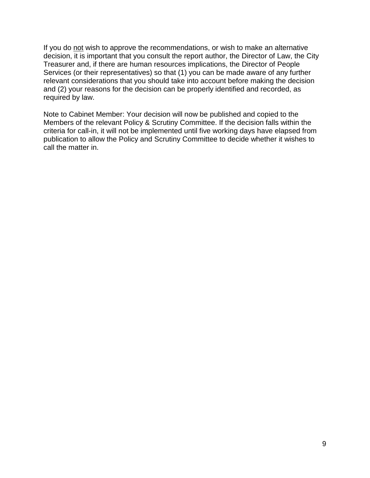If you do not wish to approve the recommendations, or wish to make an alternative decision, it is important that you consult the report author, the Director of Law, the City Treasurer and, if there are human resources implications, the Director of People Services (or their representatives) so that (1) you can be made aware of any further relevant considerations that you should take into account before making the decision and (2) your reasons for the decision can be properly identified and recorded, as required by law.

Note to Cabinet Member: Your decision will now be published and copied to the Members of the relevant Policy & Scrutiny Committee. If the decision falls within the criteria for call-in, it will not be implemented until five working days have elapsed from publication to allow the Policy and Scrutiny Committee to decide whether it wishes to call the matter in.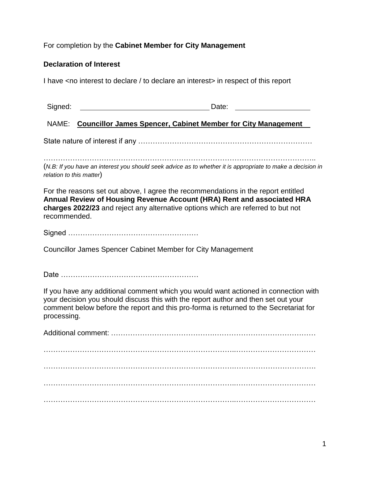## For completion by the **Cabinet Member for City Management**

## **Declaration of Interest**

I have <no interest to declare / to declare an interest> in respect of this report

## NAME: **Councillor James Spencer, Cabinet Member for City Management**

State nature of interest if any ………………………………………………………………

………………………………………………………………………………………………….. (*N.B: If you have an interest you should seek advice as to whether it is appropriate to make a decision in relation to this matter*)

For the reasons set out above, I agree the recommendations in the report entitled **Annual Review of Housing Revenue Account (HRA) Rent and associated HRA charges 2022/23** and reject any alternative options which are referred to but not recommended.

Signed ………………………………………………

Councillor James Spencer Cabinet Member for City Management

Date …………………………………………………

If you have any additional comment which you would want actioned in connection with your decision you should discuss this with the report author and then set out your comment below before the report and this pro-forma is returned to the Secretariat for processing.